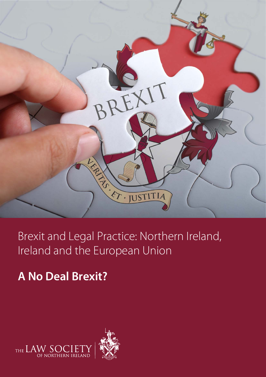

Brexit and Legal Practice: Northern Ireland, Ireland and the European Union

# **A No Deal Brexit?**